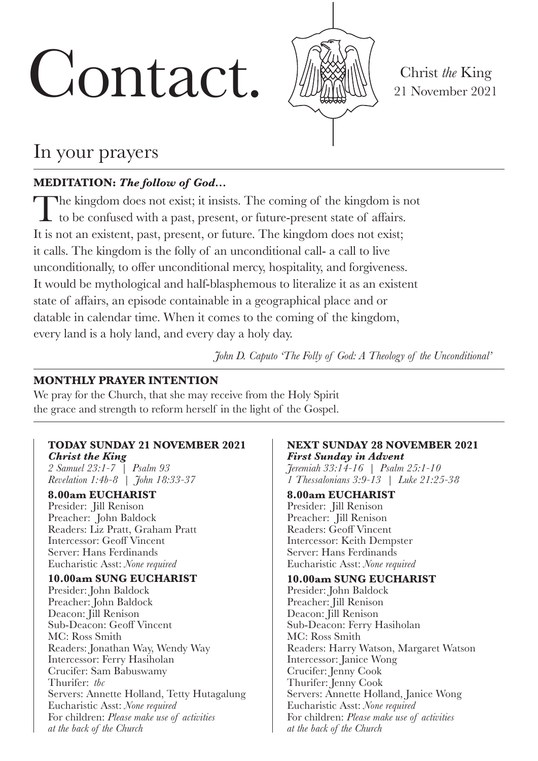# Contact. Will Christ *the* King



21 November 2021

# In your prayers

# **MEDITATION:** *The follow of God…*

The kingdom does not exist; it insists. The coming of the kingdom is not to be confused with a past, present, or future-present state of affairs. It is not an existent, past, present, or future. The kingdom does not exist; it calls. The kingdom is the folly of an unconditional call- a call to live unconditionally, to offer unconditional mercy, hospitality, and forgiveness. It would be mythological and half-blasphemous to literalize it as an existent state of affairs, an episode containable in a geographical place and or datable in calendar time. When it comes to the coming of the kingdom, every land is a holy land, and every day a holy day.

*John D. Caputo 'The Folly of God: A Theology of the Unconditional'*

### **MONTHLY PRAYER INTENTION**

We pray for the Church, that she may receive from the Holy Spirit the grace and strength to reform herself in the light of the Gospel.

#### **TODAY SUNDAY 21 NOVEMBER 2021**

*Christ the King 2 Samuel 23:1-7 | Psalm 93 Revelation 1:4b-8 | John 18:33-37*

**8.00am EUCHARIST** Presider: Jill Renison Preacher: John Baldock Readers: Liz Pratt, Graham Pratt Intercessor: Geoff Vincent Server: Hans Ferdinands Eucharistic Asst: *None required*

#### **10.00am SUNG EUCHARIST**

Presider: John Baldock Preacher: John Baldock Deacon: Jill Renison Sub-Deacon: Geoff Vincent MC: Ross Smith Readers: Jonathan Way, Wendy Way Intercessor: Ferry Hasiholan Crucifer: Sam Babuswamy Thurifer: *tbc* Servers: Annette Holland, Tetty Hutagalung Eucharistic Asst: *None required* For children: *Please make use of activities at the back of the Church*

#### **NEXT SUNDAY 28 NOVEMBER 2021** *First Sunday in Advent*

*Jeremiah 33:14-16 | Psalm 25:1-10 1 Thessalonians 3:9-13 | Luke 21:25-38*

#### **8.00am EUCHARIST**

Presider: Jill Renison Preacher: Jill Renison Readers: Geoff Vincent Intercessor: Keith Dempster Server: Hans Ferdinands Eucharistic Asst: *None required*

#### **10.00am SUNG EUCHARIST**

Presider: John Baldock Preacher: Jill Renison Deacon: Jill Renison Sub-Deacon: Ferry Hasiholan MC: Ross Smith Readers: Harry Watson, Margaret Watson Intercessor: Janice Wong Crucifer: Jenny Cook Thurifer: Jenny Cook Servers: Annette Holland, Janice Wong Eucharistic Asst: *None required* For children: *Please make use of activities at the back of the Church*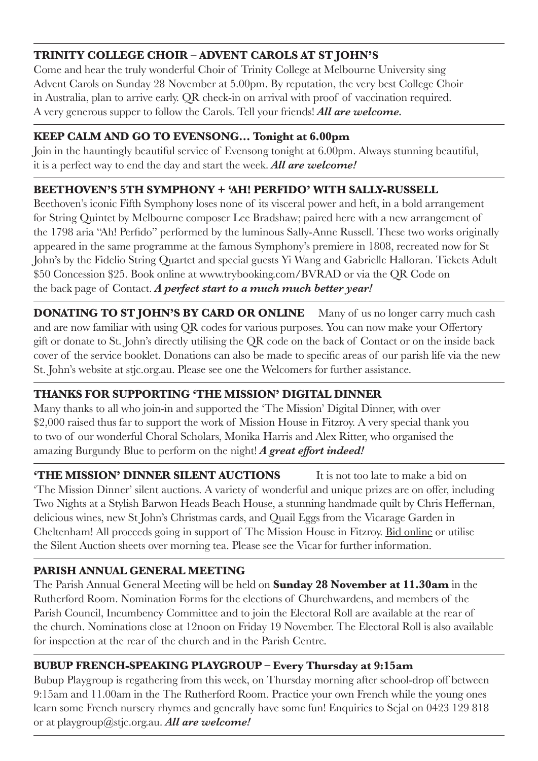# **TRINITY COLLEGE CHOIR – ADVENT CAROLS AT ST JOHN'S**

Come and hear the truly wonderful Choir of Trinity College at Melbourne University sing Advent Carols on Sunday 28 November at 5.00pm. By reputation, the very best College Choir in Australia, plan to arrive early. QR check-in on arrival with proof of vaccination required. A very generous supper to follow the Carols. Tell your friends! *All are welcome.*

## **KEEP CALM AND GO TO EVENSONG… Tonight at 6.00pm**

Join in the hauntingly beautiful service of Evensong tonight at 6.00pm. Always stunning beautiful, it is a perfect way to end the day and start the week. *All are welcome!*

# **BEETHOVEN'S 5TH SYMPHONY + 'AH! PERFIDO' WITH SALLY-RUSSELL**

Beethoven's iconic Fifth Symphony loses none of its visceral power and heft, in a bold arrangement for String Quintet by Melbourne composer Lee Bradshaw; paired here with a new arrangement of the 1798 aria "Ah! Perfido" performed by the luminous Sally-Anne Russell. These two works originally appeared in the same programme at the famous Symphony's premiere in 1808, recreated now for St John's by the Fidelio String Quartet and special guests Yi Wang and Gabrielle Halloran. Tickets Adult \$50 Concession \$25. Book online at www.trybooking.com/BVRAD or via the QR Code on the back page of Contact. *A perfect start to a much much better year!* 

**DONATING TO ST JOHN'S BY CARD OR ONLINE** Many of us no longer carry much cash and are now familiar with using QR codes for various purposes. You can now make your Offertory gift or donate to St. John's directly utilising the QR code on the back of Contact or on the inside back cover of the service booklet. Donations can also be made to specific areas of our parish life via the new St. John's website at stjc.org.au. Please see one the Welcomers for further assistance.

# **THANKS FOR SUPPORTING 'THE MISSION' DIGITAL DINNER**

Many thanks to all who join-in and supported the 'The Mission' Digital Dinner, with over \$2,000 raised thus far to support the work of Mission House in Fitzroy. A very special thank you to two of our wonderful Choral Scholars, Monika Harris and Alex Ritter, who organised the amazing Burgundy Blue to perform on the night! *A great effort indeed!*

**THE MISSION' DINNER SILENT AUCTIONS** It is not too late to make a bid on 'The Mission Dinner' silent auctions. A variety of wonderful and unique prizes are on offer, including Two Nights at a Stylish Barwon Heads Beach House, a stunning handmade quilt by Chris Heffernan, delicious wines, new St John's Christmas cards, and Quail Eggs from the Vicarage Garden in Cheltenham! All proceeds going in support of The Mission House in Fitzroy. Bid online or utilise the Silent Auction sheets over morning tea. Please see the Vicar for further information.

# **PARISH ANNUAL GENERAL MEETING**

The Parish Annual General Meeting will be held on **Sunday 28 November at 11.30am** in the Rutherford Room. Nomination Forms for the elections of Churchwardens, and members of the Parish Council, Incumbency Committee and to join the Electoral Roll are available at the rear of the church. Nominations close at 12noon on Friday 19 November. The Electoral Roll is also available for inspection at the rear of the church and in the Parish Centre.

# **BUBUP FRENCH-SPEAKING PLAYGROUP – Every Thursday at 9:15am**

Bubup Playgroup is regathering from this week, on Thursday morning after school-drop off between 9:15am and 11.00am in the The Rutherford Room. Practice your own French while the young ones learn some French nursery rhymes and generally have some fun! Enquiries to Sejal on 0423 129 818 or at playgroup@stjc.org.au. *All are welcome!*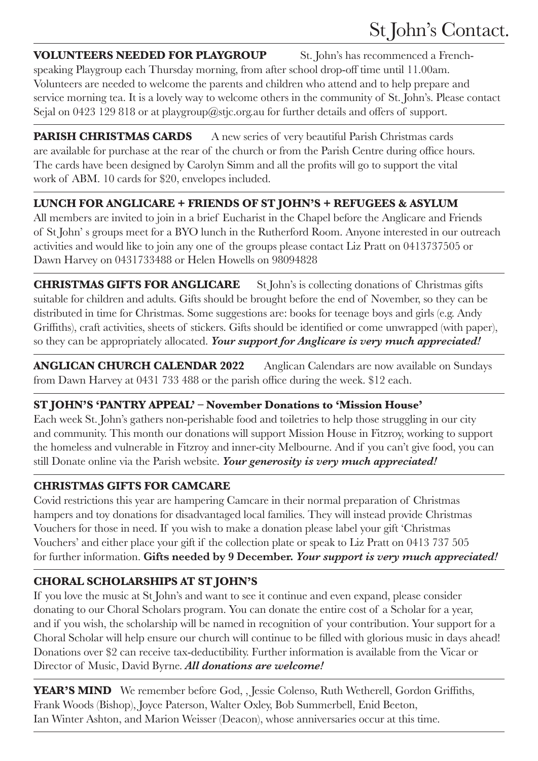#### **VOLUNTEERS NEEDED FOR PLAYGROUP** St. John's has recommenced a French-

speaking Playgroup each Thursday morning, from after school drop-off time until 11.00am. Volunteers are needed to welcome the parents and children who attend and to help prepare and service morning tea. It is a lovely way to welcome others in the community of St. John's. Please contact Sejal on 0423 129 818 or at playgroup@stjc.org.au for further details and offers of support.

**PARISH CHRISTMAS CARDS** A new series of very beautiful Parish Christmas cards are available for purchase at the rear of the church or from the Parish Centre during office hours. The cards have been designed by Carolyn Simm and all the profits will go to support the vital work of ABM. 10 cards for \$20, envelopes included.

# **LUNCH FOR ANGLICARE + FRIENDS OF ST JOHN'S + REFUGEES & ASYLUM**

All members are invited to join in a brief Eucharist in the Chapel before the Anglicare and Friends of St John' s groups meet for a BYO lunch in the Rutherford Room. Anyone interested in our outreach activities and would like to join any one of the groups please contact Liz Pratt on 0413737505 or Dawn Harvey on 0431733488 or Helen Howells on 98094828

**CHRISTMAS GIFTS FOR ANGLICARE** St John's is collecting donations of Christmas gifts suitable for children and adults. Gifts should be brought before the end of November, so they can be distributed in time for Christmas. Some suggestions are: books for teenage boys and girls (e.g. Andy Griffiths), craft activities, sheets of stickers. Gifts should be identified or come unwrapped (with paper), so they can be appropriately allocated. *Your support for Anglicare is very much appreciated!*

**ANGLICAN CHURCH CALENDAR 2022** Anglican Calendars are now available on Sundays from Dawn Harvey at 0431 733 488 or the parish office during the week. \$12 each.

#### **ST JOHN'S 'PANTRY APPEAL' – November Donations to 'Mission House'**

Each week St. John's gathers non-perishable food and toiletries to help those struggling in our city and community. This month our donations will support Mission House in Fitzroy, working to support the homeless and vulnerable in Fitzroy and inner-city Melbourne. And if you can't give food, you can still Donate online via the Parish website. *Your generosity is very much appreciated!*

# **CHRISTMAS GIFTS FOR CAMCARE**

Covid restrictions this year are hampering Camcare in their normal preparation of Christmas hampers and toy donations for disadvantaged local families. They will instead provide Christmas Vouchers for those in need. If you wish to make a donation please label your gift 'Christmas Vouchers' and either place your gift if the collection plate or speak to Liz Pratt on 0413 737 505 for further information. **Gifts needed by 9 December.** *Your support is very much appreciated!*

# **CHORAL SCHOLARSHIPS AT ST JOHN'S**

If you love the music at St John's and want to see it continue and even expand, please consider donating to our Choral Scholars program. You can donate the entire cost of a Scholar for a year, and if you wish, the scholarship will be named in recognition of your contribution. Your support for a Choral Scholar will help ensure our church will continue to be filled with glorious music in days ahead! Donations over \$2 can receive tax-deductibility. Further information is available from the Vicar or Director of Music, David Byrne. *All donations are welcome!*

**YEAR'S MIND** We remember before God, , Jessie Colenso, Ruth Wetherell, Gordon Griffiths, Frank Woods (Bishop), Joyce Paterson, Walter Oxley, Bob Summerbell, Enid Beeton, Ian Winter Ashton, and Marion Weisser (Deacon), whose anniversaries occur at this time.